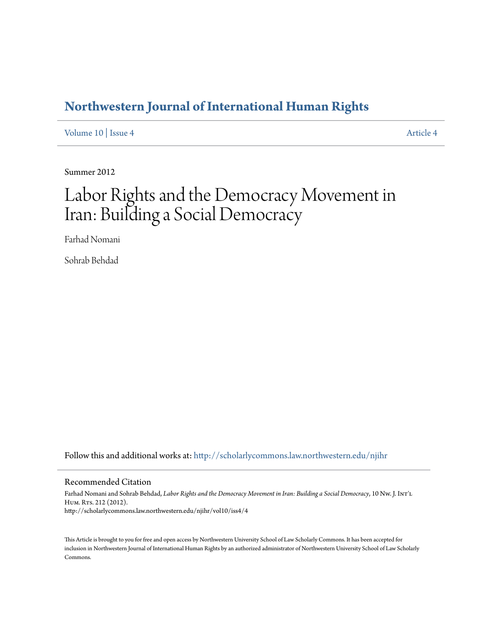## **[Northwestern Journal of International Human Rights](http://scholarlycommons.law.northwestern.edu/njihr?utm_source=scholarlycommons.law.northwestern.edu%2Fnjihr%2Fvol10%2Fiss4%2F4&utm_medium=PDF&utm_campaign=PDFCoverPages)**

[Volume 10](http://scholarlycommons.law.northwestern.edu/njihr/vol10?utm_source=scholarlycommons.law.northwestern.edu%2Fnjihr%2Fvol10%2Fiss4%2F4&utm_medium=PDF&utm_campaign=PDFCoverPages) | [Issue 4](http://scholarlycommons.law.northwestern.edu/njihr/vol10/iss4?utm_source=scholarlycommons.law.northwestern.edu%2Fnjihr%2Fvol10%2Fiss4%2F4&utm_medium=PDF&utm_campaign=PDFCoverPages) [Article 4](http://scholarlycommons.law.northwestern.edu/njihr/vol10/iss4/4?utm_source=scholarlycommons.law.northwestern.edu%2Fnjihr%2Fvol10%2Fiss4%2F4&utm_medium=PDF&utm_campaign=PDFCoverPages)

Summer 2012

# Labor Rights and the Democracy Movement in Iran: Building a Social Democracy

Farhad Nomani

Sohrab Behdad

Follow this and additional works at: [http://scholarlycommons.law.northwestern.edu/njihr](http://scholarlycommons.law.northwestern.edu/njihr?utm_source=scholarlycommons.law.northwestern.edu%2Fnjihr%2Fvol10%2Fiss4%2F4&utm_medium=PDF&utm_campaign=PDFCoverPages)

#### Recommended Citation

Farhad Nomani and Sohrab Behdad, *Labor Rights and the Democracy Movement in Iran: Building a Social Democracy*, 10 Nw. J. Int'l HUM. RTS. 212 (2012). http://scholarlycommons.law.northwestern.edu/njihr/vol10/iss4/4

This Article is brought to you for free and open access by Northwestern University School of Law Scholarly Commons. It has been accepted for inclusion in Northwestern Journal of International Human Rights by an authorized administrator of Northwestern University School of Law Scholarly Commons.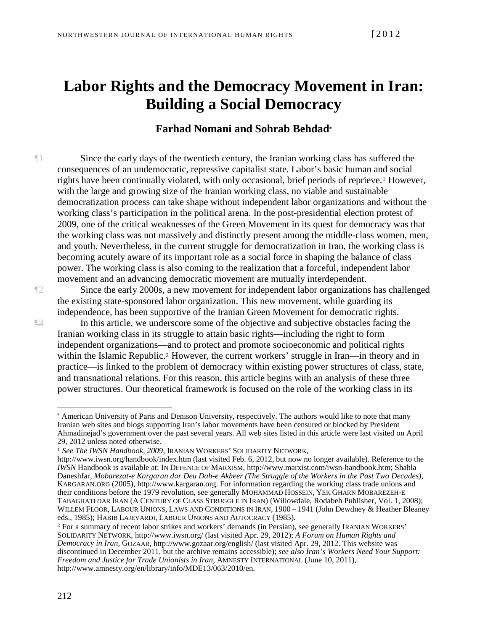## **Labor Rights and the Democracy Movement in Iran: Building a Social Democracy**

## **Farhad Nomani and Sohrab Behdad\***

¶1 Since the early days of the twentieth century, the Iranian working class has suffered the consequences of an undemocratic, repressive capitalist state. Labor's basic human a[nd](#page-1-0) social rights have been continually violated, with only occasional, brief periods of reprieve.<sup>1</sup> However, with the large and growing size of the Iranian working class, no viable and sustainable democratization process can take shape without independent labor organizations and without the working class's participation in the political arena. In the post-presidential election protest of 2009, one of the critical weaknesses of the Green Movement in its quest for democracy was that the working class was not massively and distinctly present among the middle-class women, men, and youth. Nevertheless, in the current struggle for democratization in Iran, the working class is becoming acutely aware of its important role as a social force in shaping the balance of class power. The working class is also coming to the realization that a forceful, independent labor movement and an advancing democratic movement are mutually interdependent.

¶2 Since the early 2000s, a new movement for independent labor organizations has challenged the existing state-sponsored labor organization. This new movement, while guarding its independence, has been supportive of the Iranian Green Movement for democratic rights.

 $\mathbb{R}$  In this article, we underscore some of the objective and subjective obstacles facing the Iranian working class in its struggle to attain basic rights—including the right to form independent organizations[—a](#page-1-1)nd to protect and promote socioeconomic and political rights within the Islamic Republic.<sup>2</sup> However, the current workers' struggle in Iran—in theory and in practice—is linked to the problem of democracy within existing power structures of class, state, and transnational relations. For this reason, this article begins with an analysis of these three power structures. Our theoretical framework is focused on the role of the working class in its

<span id="page-1-1"></span><sup>2</sup> For a summary of recent labor strikes and workers' demands (in Persian), see generally IRANIAN WORKERS' SOLIDARITY NETWORK, http://www.iwsn.org/ (last visited Apr. 29, 2012); *A Forum on Human Rights and Democracy in Iran*, GOZAAR, http://www.gozaar.org/english/ (last visited Apr. 29, 2012. This website was discontinued in December 2011, but the archive remains accessible); *see also Iran's Workers Need Your Support: Freedom and Justice for Trade Unionists in Iran*, AMNESTY INTERNATIONAL (June 10, 2011), http://www.amnesty.org/en/library/info/MDE13/063/2010/en.

<span id="page-1-0"></span><sup>\*</sup> American University of Paris and Denison University, respectively. The authors would like to note that many Iranian web sites and blogs supporting Iran's labor movements have been censured or blocked by President Ahmadinejad's government over the past several years. All web sites listed in this article were last visited on April 29, 2012 unless noted otherwise.

<sup>1</sup> *See The IWSN Handbook, 2009*, IRANIAN WORKERS' SOLIDARITY NETWORK,

<http://www.iwsn.org/handbook/index.htm> (last visited Feb. 6, 2012, but now no longer available). Reference to the *IWSN* Handbook is available at: IN DEFENCE OF MARXISM, http://www.marxist.com/iwsn-handbook.htm; Shahla Daneshfar, *Mobarezat-e Kargaran dar Deu Dah-e Akheer (The Struggle of the Workers in the Past Two Decades)*, KARGARAN.ORG (2005), http://www.kargaran.org. For information regarding the working class trade unions and their conditions before the 1979 revolution, see generally MOHAMMAD HOSSEIN, YEK GHARN MOBAREZEH-E TABAGHATI DAR IRAN (A CENTURY OF CLASS STRUGGLE IN IRAN) (Willowdale, Rodabeh Publisher, Vol. 1, 2008); WILLEM FLOOR, LABOUR UNIONS, LAWS AND CONDITIONS IN IRAN, 1900 – 1941 (John Dewdney & Heather Bleaney eds., 1985); HABIB LAJEVARDI, LABOUR UNIONS AND AUTOCRACY (1985).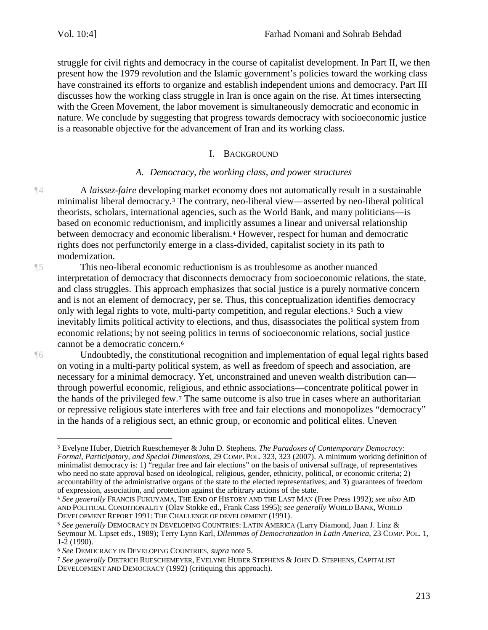struggle for civil rights and democracy in the course of capitalist development. In Part II, we then present how the 1979 revolution and the Islamic government's policies toward the working class have constrained its efforts to organize and establish independent unions and democracy. Part III discusses how the working class struggle in Iran is once again on the rise. At times intersecting with the Green Movement, the labor movement is simultaneously democratic and economic in nature. We conclude by suggesting that progress towards democracy with socioeconomic justice is a reasonable objective for the advancement of Iran and its working class.

### I. BACKGROUND

#### *A. Democracy, the working class, and power structures*

¶4 A *laissez-faire* developi[n](#page-2-0)g market economy does not automatically result in a sustainable minimalist liberal democracy.<sup>3</sup> The contrary, neo-liberal view—asserted by neo-liberal political theorists, scholars, international agencies, such as the World Bank, and many politicians—is based on economic reductionism, and implici[tl](#page-2-1)y assumes a linear and universal relationship between democracy and economic liberalism.<sup>4</sup> However, respect for human and democratic rights does not perfunctorily emerge in a class-divided, capitalist society in its path to modernization.

¶5 This neo-liberal economic reductionism is as troublesome as another nuanced interpretation of democracy that disconnects democracy from socioeconomic relations, the state, and class struggles. This approach emphasizes that social justice is a purely normative concern and is not an element of democracy, per se. Thus, this conceptualization ide[nt](#page-2-2)ifies democracy only with legal rights to vote, multi-party competition, and regular elections.<sup>5</sup> Such a view inevitably limits political activity to elections, and thus, disassociates the political system from economic relations; by not seei[ng](#page-2-3) politics in terms of socioeconomic relations, social justice cannot be a democratic concern.<sup>6</sup>

 $\overline{a}$ 

¶6 Undoubtedly, the constitutional recognition and implementation of equal legal rights based on voting in a multi-party political system, as well as freedom of speech and association, are necessary for a minimal democracy. Yet, unconstrained and uneven wealth distribution can through powerful economic, rel[ig](#page-2-4)ious, and ethnic associations—concentrate political power in the hands of the privileged few.<sup>7</sup> The same outcome is also true in cases where an authoritarian or repressive religious state interferes with free and fair elections and monopolizes "democracy" in the hands of a religious sect, an ethnic group, or economic and political elites. Uneven

<span id="page-2-0"></span><sup>3</sup> Evelyne Huber, Dietrich Rueschemeyer & John D. Stephens. *The Paradoxes of Contemporary Democracy: Formal, Participatory, and Special Dimensions*, 29 COMP. POL. 323, 323 (2007). A minimum working definition of minimalist democracy is: 1) "regular free and fair elections" on the basis of universal suffrage, of representatives who need no state approval based on ideological, religious, gender, ethnicity, political, or economic criteria; 2) accountability of the administrative organs of the state to the elected representatives; and 3) guarantees of freedom of expression, association, and protection against the arbitrary actions of the state.

<span id="page-2-1"></span><sup>4</sup> *See generally* FRANCIS FUKUYAMA, THE END OF HISTORY AND THE LAST MAN (Free Press 1992); *see also* AID AND POLITICAL CONDITIONALITY (Olav Stokke ed., Frank Cass 1995); *see generally* WORLD BANK, WORLD DEVELOPMENT REPORT 1991: THE CHALLENGE OF DEVELOPMENT (1991).

<span id="page-2-2"></span><sup>5</sup> *See generally* DEMOCRACY IN DEVELOPING COUNTRIES: LATIN AMERICA (Larry Diamond, Juan J. Linz & Seymour M. Lipset eds., 1989); Terry Lynn Karl, *Dilemmas of Democratization in Latin America*, 23 COMP. POL. 1, 1-2 (1990).

<span id="page-2-3"></span><sup>6</sup> *See* DEMOCRACY IN DEVELOPING COUNTRIES, *supra* note 5.

<span id="page-2-4"></span><sup>7</sup> *See generally* DIETRICH RUESCHEMEYER, EVELYNE HUBER STEPHENS & JOHN D. STEPHENS, CAPITALIST DEVELOPMENT AND DEMOCRACY (1992) (critiquing this approach).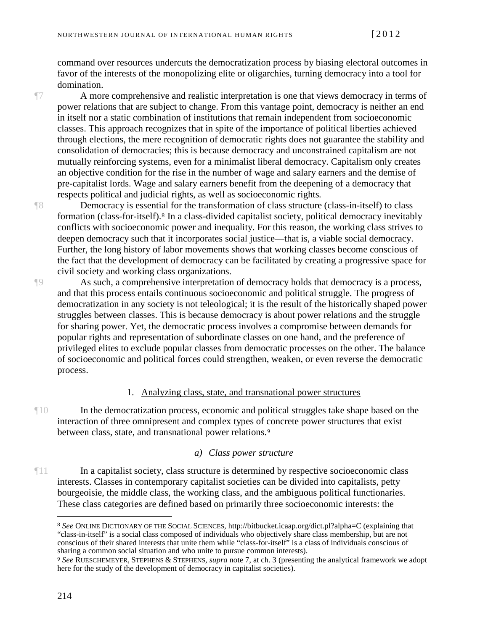command over resources undercuts the democratization process by biasing electoral outcomes in favor of the interests of the monopolizing elite or oligarchies, turning democracy into a tool for domination.

¶7 A more comprehensive and realistic interpretation is one that views democracy in terms of power relations that are subject to change. From this vantage point, democracy is neither an end in itself nor a static combination of institutions that remain independent from socioeconomic classes. This approach recognizes that in spite of the importance of political liberties achieved through elections, the mere recognition of democratic rights does not guarantee the stability and consolidation of democracies; this is because democracy and unconstrained capitalism are not mutually reinforcing systems, even for a minimalist liberal democracy. Capitalism only creates an objective condition for the rise in the number of wage and salary earners and the demise of pre-capitalist lords. Wage and salary earners benefit from the deepening of a democracy that respects political and judicial rights, as well as socioeconomic rights*.* 

¶8 Democracy is essenti[a](#page-3-0)l for the transformation of class structure (class-in-itself) to class formation (class-for-itself).<sup>8</sup> In a class-divided capitalist society, political democracy inevitably conflicts with socioeconomic power and inequality. For this reason, the working class strives to deepen democracy such that it incorporates social justice—that is, a viable social democracy. Further, the long history of labor movements shows that working classes become conscious of the fact that the development of democracy can be facilitated by creating a progressive space for civil society and working class organizations.

¶9 As such, a comprehensive interpretation of democracy holds that democracy is a process, and that this process entails continuous socioeconomic and political struggle. The progress of democratization in any society is not teleological; it is the result of the historically shaped power struggles between classes. This is because democracy is about power relations and the struggle for sharing power. Yet, the democratic process involves a compromise between demands for popular rights and representation of subordinate classes on one hand, and the preference of privileged elites to exclude popular classes from democratic processes on the other. The balance of socioeconomic and political forces could strengthen, weaken, or even reverse the democratic process.

#### 1. Analyzing class, state, and transnational power structures

¶10 In the democratization process, economic and political struggles take shape based on the interaction of three omnipresent and complex types of [c](#page-3-1)oncrete power structures that exist between class, state, and transnational power relations.<sup>9</sup>

#### *a) Class power structure*

¶11 In a capitalist society, class structure is determined by respective socioeconomic class interests. Classes in contemporary capitalist societies can be divided into capitalists, petty bourgeoisie, the middle class, the working class, and the ambiguous political functionaries. These class categories are defined based on primarily three socioeconomic interests: the

<span id="page-3-0"></span><sup>8</sup> *See* ONLINE DICTIONARY OF THE SOCIAL SCIENCES, http://bitbucket.icaap.org/dict.pl?alpha=C (explaining that "class-in-itself" is a social class composed of individuals who objectively share class membership, but are not conscious of their shared interests that unite them while "class-for-itself" is a class of individuals conscious of sharing a common social situation and who unite to pursue common interests).

<span id="page-3-1"></span><sup>9</sup> *See* RUESCHEMEYER, STEPHENS & STEPHENS, *supra* note 7, at ch. 3 (presenting the analytical framework we adopt here for the study of the development of democracy in capitalist societies).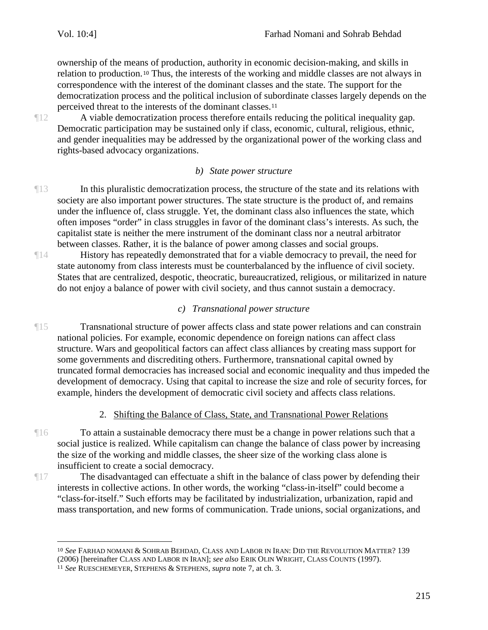ownership of the mea[ns](#page-4-0) of production, authority in economic decision-making, and skills in relation to production.<sup>10</sup> Thus, the interests of the working and middle classes are not always in correspondence with the interest of the dominant classes and the state. The support for the democratization process and the political inclusion of s[ub](#page-4-1)ordinate classes largely depends on the perceived threat to the interests of the dominant classes.<sup>11</sup>

¶12 A viable democratization process therefore entails reducing the political inequality gap. Democratic participation may be sustained only if class, economic, cultural, religious, ethnic, and gender inequalities may be addressed by the organizational power of the working class and rights-based advocacy organizations.

## *b) State power structure*

- ¶13 In this pluralistic democratization process, the structure of the state and its relations with society are also important power structures. The state structure is the product of, and remains under the influence of, class struggle. Yet, the dominant class also influences the state, which often imposes "order" in class struggles in favor of the dominant class's interests. As such, the capitalist state is neither the mere instrument of the dominant class nor a neutral arbitrator between classes. Rather, it is the balance of power among classes and social groups.
- ¶14 History has repeatedly demonstrated that for a viable democracy to prevail, the need for state autonomy from class interests must be counterbalanced by the influence of civil society. States that are centralized, despotic, theocratic, bureaucratized, religious, or militarized in nature do not enjoy a balance of power with civil society, and thus cannot sustain a democracy.

## *c) Transnational power structure*

¶15 Transnational structure of power affects class and state power relations and can constrain national policies. For example, economic dependence on foreign nations can affect class structure. Wars and geopolitical factors can affect class alliances by creating mass support for some governments and discrediting others. Furthermore, transnational capital owned by truncated formal democracies has increased social and economic inequality and thus impeded the development of democracy. Using that capital to increase the size and role of security forces, for example, hinders the development of democratic civil society and affects class relations.

## 2. Shifting the Balance of Class, State, and Transnational Power Relations

- To attain a sustainable democracy there must be a change in power relations such that a social justice is realized. While capitalism can change the balance of class power by increasing the size of the working and middle classes, the sheer size of the working class alone is insufficient to create a social democracy.
- ¶17 The disadvantaged can effectuate a shift in the balance of class power by defending their interests in collective actions. In other words, the working "class-in-itself" could become a "class-for-itself." Such efforts may be facilitated by industrialization, urbanization, rapid and mass transportation, and new forms of communication. Trade unions, social organizations, and

<span id="page-4-0"></span><sup>10</sup> *See* FARHAD NOMANI & SOHRAB BEHDAD, CLASS AND LABOR IN IRAN: DID THE REVOLUTION MATTER? 139 (2006) [hereinafter CLASS AND LABOR IN IRAN]; *see also* ERIK OLIN WRIGHT, CLASS COUNTS (1997).

<span id="page-4-1"></span><sup>11</sup> *See* RUESCHEMEYER, STEPHENS & STEPHENS, *supra* note 7, at ch. 3.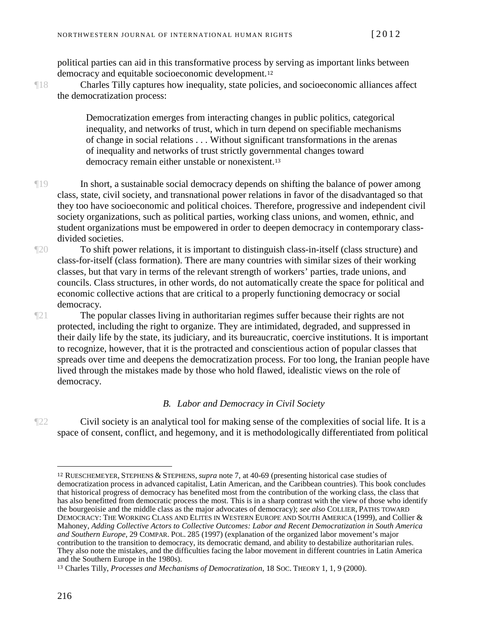political parties can aid in this transformative process [by](#page-5-0) serving as important links between democracy and equitable socioeconomic development.<sup>12</sup>

¶18 Charles Tilly captures how inequality, state policies, and socioeconomic alliances affect the democratization process:

> Democratization emerges from interacting changes in public politics, categorical inequality, and networks of trust, which in turn depend on specifiable mechanisms of change in social relations . . . Without significant transformations in the arenas of inequality and networks of trust strictly gover[nm](#page-5-1)ental changes toward democracy remain either unstable or nonexistent.<sup>13</sup>

- ¶19 In short, a sustainable social democracy depends on shifting the balance of power among class, state, civil society, and transnational power relations in favor of the disadvantaged so that they too have socioeconomic and political choices. Therefore, progressive and independent civil society organizations, such as political parties, working class unions, and women, ethnic, and student organizations must be empowered in order to deepen democracy in contemporary classdivided societies.
- ¶20 To shift power relations, it is important to distinguish class-in-itself (class structure) and class-for-itself (class formation). There are many countries with similar sizes of their working classes, but that vary in terms of the relevant strength of workers' parties, trade unions, and councils. Class structures, in other words, do not automatically create the space for political and economic collective actions that are critical to a properly functioning democracy or social democracy.
- ¶21 The popular classes living in authoritarian regimes suffer because their rights are not protected, including the right to organize. They are intimidated, degraded, and suppressed in their daily life by the state, its judiciary, and its bureaucratic, coercive institutions. It is important to recognize, however, that it is the protracted and conscientious action of popular classes that spreads over time and deepens the democratization process. For too long, the Iranian people have lived through the mistakes made by those who hold flawed, idealistic views on the role of democracy.

#### *B. Labor and Democracy in Civil Society*

¶22 Civil society is an analytical tool for making sense of the complexities of social life. It is a space of consent, conflict, and hegemony, and it is methodologically differentiated from political

<span id="page-5-0"></span><sup>12</sup> RUESCHEMEYER, STEPHENS & STEPHENS, *supra* note 7, at 40-69 (presenting historical case studies of democratization process in advanced capitalist, Latin American, and the Caribbean countries). This book concludes that historical progress of democracy has benefited most from the contribution of the working class, the class that has also benefitted from democratic process the most. This is in a sharp contrast with the view of those who identify the bourgeoisie and the middle class as the major advocates of democracy); *see also* COLLIER, PATHS TOWARD DEMOCRACY: THE WORKING CLASS AND ELITES IN WESTERN EUROPE AND SOUTH AMERICA (1999), and Collier & Mahoney, *Adding Collective Actors to Collective Outcomes: Labor and Recent Democratization in South America and Southern Europe*, 29 COMPAR. POL. 285 (1997) (explanation of the organized labor movement's major contribution to the transition to democracy, its democratic demand, and ability to destabilize authoritarian rules. They also note the mistakes, and the difficulties facing the labor movement in different countries in Latin America and the Southern Europe in the 1980s).

<span id="page-5-1"></span><sup>13</sup> Charles Tilly, *Processes and Mechanisms of Democratization*, 18 SOC. THEORY 1, 1, 9 (2000).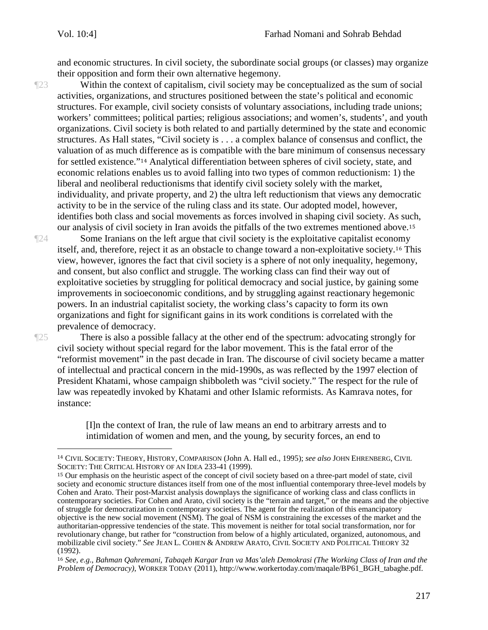and economic structures. In civil society, the subordinate social groups (or classes) may organize their opposition and form their own alternative hegemony.

¶23 Within the context of capitalism, civil society may be conceptualized as the sum of social activities, organizations, and structures positioned between the state's political and economic structures. For example, civil society consists of voluntary associations, including trade unions; workers' committees; political parties; religious associations; and women's, students', and youth organizations. Civil society is both related to and partially determined by the state and economic structures. As Hall states, "Civil society is . . . a complex balance of consensus and conflict, the valuation of as much [di](#page-6-0)fference as is compatible with the bare minimum of consensus necessary for settled existence."<sup>14</sup> Analytical differentiation between spheres of civil society, state, and economic relations enables us to avoid falling into two types of common reductionism: 1) the liberal and neoliberal reductionisms that identify civil society solely with the market, individuality, and private property, and 2) the ultra left reductionism that views any democratic activity to be in the service of the ruling class and its state. Our adopted model, however, identifies both class and social movements as forces involved in shaping civil society. As s[uch](#page-6-1), our analysis of civil society in Iran avoids the pitfalls of the two extremes mentioned above.<sup>15</sup>

¶24 Some Iranians on the left argue that civil society is the exploitative capitalist econ[om](#page-6-2)y itself, and, therefore, reject it as an obstacle to change toward a non-exploitative society.<sup>16</sup> This view, however, ignores the fact that civil society is a sphere of not only inequality, hegemony, and consent, but also conflict and struggle. The working class can find their way out of exploitative societies by struggling for political democracy and social justice, by gaining some improvements in socioeconomic conditions, and by struggling against reactionary hegemonic powers. In an industrial capitalist society, the working class's capacity to form its own organizations and fight for significant gains in its work conditions is correlated with the prevalence of democracy.

 $\overline{a}$ 

There is also a possible fallacy at the other end of the spectrum: advocating strongly for civil society without special regard for the labor movement. This is the fatal error of the "reformist movement" in the past decade in Iran. The discourse of civil society became a matter of intellectual and practical concern in the mid-1990s, as was reflected by the 1997 election of President Khatami, whose campaign shibboleth was "civil society." The respect for the rule of law was repeatedly invoked by Khatami and other Islamic reformists. As Kamrava notes, for instance:

> [I]n the context of Iran, the rule of law means an end to arbitrary arrests and to intimidation of women and men, and the young, by security forces, an end to

<span id="page-6-0"></span><sup>14</sup> CIVIL SOCIETY: THEORY, HISTORY, COMPARISON (John A. Hall ed., 1995); *see also* JOHN EHRENBERG, CIVIL SOCIETY: THE CRITICAL HISTORY OF AN IDEA 233-41 (1999).

<span id="page-6-1"></span><sup>15</sup> Our emphasis on the heuristic aspect of the concept of civil society based on a three-part model of state, civil society and economic structure distances itself from one of the most influential contemporary three-level models by Cohen and Arato. Their post-Marxist analysis downplays the significance of working class and class conflicts in contemporary societies. For Cohen and Arato, civil society is the "terrain and target," or the means and the objective of struggle for democratization in contemporary societies. The agent for the realization of this emancipatory objective is the new social movement (NSM). The goal of NSM is constraining the excesses of the market and the authoritarian-oppressive tendencies of the state. This movement is neither for total social transformation, nor for revolutionary change, but rather for "construction from below of a highly articulated, organized, autonomous, and mobilizable civil society." *See* JEAN L. COHEN & ANDREW ARATO, CIVIL SOCIETY AND POLITICAL THEORY 32 (1992).

<span id="page-6-2"></span><sup>16</sup> *See, e.g*., *Bahman Qahremani, Tabaqeh Kargar Iran va Mas'aleh Demokrasi (The Working Class of Iran and the Problem of Democracy)*, WORKER TODAY (2011), http://www.workertoday.com/maqale/BP61\_BGH\_tabaghe.pdf.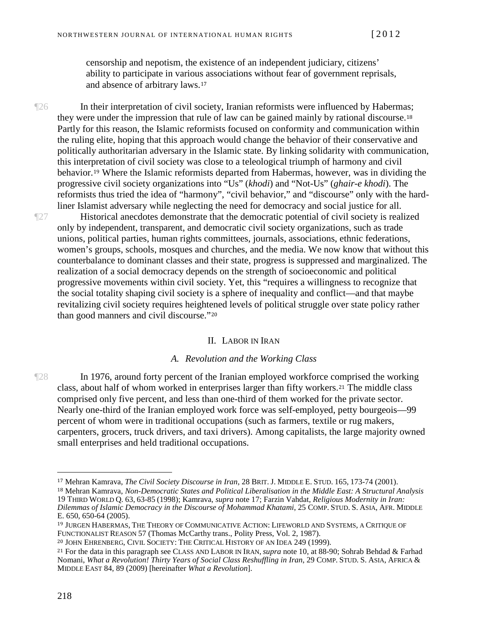censorship and nepotism, the existence of an independent judiciary, citizens' ability to participate in variou[s a](#page-7-0)ssociations without fear of government reprisals, and absence of arbitrary laws.<sup>17</sup>

¶26 In their interpretation of civil society, Iranian reformists were influenced by Haberm[as;](#page-7-1) they were under the impression that rule of law can be gained mainly by rational discourse.<sup>18</sup> Partly for this reason, the Islamic reformists focused on conformity and communication within the ruling elite, hoping that this approach would change the behavior of their conservative and politically authoritarian adversary in the Islamic state. By linking solidarity with communication, this inter[pre](#page-7-2)tation of civil society was close to a teleological triumph of harmony and civil behavior.<sup>19</sup> Where the Islamic reformists departed from Habermas, however, was in dividing the progressive civil society organizations into "Us" (*khodi*) and "Not-Us" (*ghair-e khodi*). The reformists thus tried the idea of "harmony", "civil behavior," and "discourse" only with the hardliner Islamist adversary while neglecting the need for democracy and social justice for all.

¶27 Historical anecdotes demonstrate that the democratic potential of civil society is realized only by independent, transparent, and democratic civil society organizations, such as trade unions, political parties, human rights committees, journals, associations, ethnic federations, women's groups, schools, mosques and churches, and the media. We now know that without this counterbalance to dominant classes and their state, progress is suppressed and marginalized. The realization of a social democracy depends on the strength of socioeconomic and political progressive movements within civil society. Yet, this "requires a willingness to recognize that the social totality shaping civil society is a sphere of inequality and conflict—and that maybe revitalizing civil society requires height[en](#page-7-3)ed levels of political struggle over state policy rather than good manners and civil discourse."<sup>20</sup>

### II. LABOR IN IRAN

#### *A. Revolution and the Working Class*

¶28 In 1976, around forty percent of the Iranian employed workforce c[om](#page-7-4)prised the working class, about half of whom worked in enterprises larger than fifty workers.<sup>21</sup> The middle class comprised only five percent, and less than one-third of them worked for the private sector. Nearly one-third of the Iranian employed work force was self-employed, petty bourgeois—99 percent of whom were in traditional occupations (such as farmers, textile or rug makers, carpenters, grocers, truck drivers, and taxi drivers). Among capitalists, the large majority owned small enterprises and held traditional occupations.

<span id="page-7-0"></span><sup>17</sup> Mehran Kamrava, *The Civil Society Discourse in Iran*, 28 BRIT. J. MIDDLE E. STUD. 165, 173-74 (2001).

<span id="page-7-1"></span><sup>18</sup> Mehran Kamrava, *Non-Democratic States and Political Liberalisation in the Middle East: A Structural Analysis* 19 THIRD WORLD Q*.* 63, 63-85 (1998); Kamrava, *supra* note 17; Farzin Vahdat, *Religious Modernity in Iran: Dilemmas of Islamic Democracy in the Discourse of Mohammad Khatami*, 25 COMP. STUD. S. ASIA, AFR. MIDDLE E. 650, 650-64 (2005).

<span id="page-7-2"></span><sup>19</sup> JURGEN HABERMAS, THE THEORY OF COMMUNICATIVE ACTION: LIFEWORLD AND SYSTEMS, A CRITIQUE OF FUNCTIONALIST REASON 57 (Thomas McCarthy trans., Polity Press, Vol. 2, 1987).

<span id="page-7-3"></span><sup>20</sup> JOHN EHRENBERG, CIVIL SOCIETY: THE CRITICAL HISTORY OF AN IDEA 249 (1999).

<span id="page-7-4"></span><sup>21</sup> For the data in this paragraph see CLASS AND LABOR IN IRAN, *supra* note 10, at 88-90; Sohrab Behdad & Farhad Nomani, *What a Revolution! Thirty Years of Social Class Reshuffling in Iran*, 29 COMP. STUD. S. ASIA, AFRICA & MIDDLE EAST 84, 89 (2009) [hereinafter *What a Revolution*].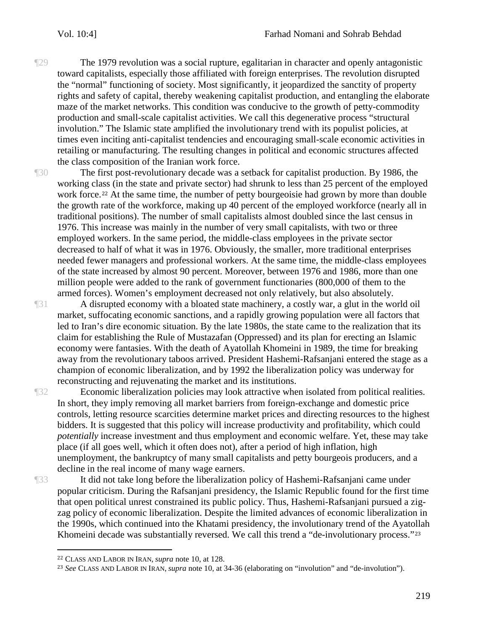¶29 The 1979 revolution was a social rupture, egalitarian in character and openly antagonistic toward capitalists, especially those affiliated with foreign enterprises. The revolution disrupted the "normal" functioning of society. Most significantly, it jeopardized the sanctity of property rights and safety of capital, thereby weakening capitalist production, and entangling the elaborate maze of the market networks. This condition was conducive to the growth of petty-commodity production and small-scale capitalist activities. We call this degenerative process "structural involution." The Islamic state amplified the involutionary trend with its populist policies, at times even inciting anti-capitalist tendencies and encouraging small-scale economic activities in retailing or manufacturing. The resulting changes in political and economic structures affected the class composition of the Iranian work force.

The first post-revolutionary decade was a setback for capitalist production. By 1986, the working cl[ass](#page-8-0) (in the state and private sector) had shrunk to less than 25 percent of the employed work force.<sup>22</sup> At the same time, the number of petty bourgeoisie had grown by more than double the growth rate of the workforce, making up 40 percent of the employed workforce (nearly all in traditional positions). The number of small capitalists almost doubled since the last census in 1976. This increase was mainly in the number of very small capitalists, with two or three employed workers. In the same period, the middle-class employees in the private sector decreased to half of what it was in 1976. Obviously, the smaller, more traditional enterprises needed fewer managers and professional workers. At the same time, the middle-class employees of the state increased by almost 90 percent. Moreover, between 1976 and 1986, more than one million people were added to the rank of government functionaries (800,000 of them to the armed forces). Women's employment decreased not only relatively, but also absolutely.

¶31 A disrupted economy with a bloated state machinery, a costly war, a glut in the world oil market, suffocating economic sanctions, and a rapidly growing population were all factors that led to Iran's dire economic situation. By the late 1980s, the state came to the realization that its claim for establishing the Rule of Mustazafan (Oppressed) and its plan for erecting an Islamic economy were fantasies. With the death of Ayatollah Khomeini in 1989, the time for breaking away from the revolutionary taboos arrived. President Hashemi-Rafsanjani entered the stage as a champion of economic liberalization, and by 1992 the liberalization policy was underway for reconstructing and rejuvenating the market and its institutions.

¶32 Economic liberalization policies may look attractive when isolated from political realities. In short, they imply removing all market barriers from foreign-exchange and domestic price controls, letting resource scarcities determine market prices and directing resources to the highest bidders. It is suggested that this policy will increase productivity and profitability, which could *potentially* increase investment and thus employment and economic welfare. Yet, these may take place (if all goes well, which it often does not), after a period of high inflation, high unemployment, the bankruptcy of many small capitalists and petty bourgeois producers, and a decline in the real income of many wage earners.

 $\overline{a}$ 

¶33 It did not take long before the liberalization policy of Hashemi-Rafsanjani came under popular criticism. During the Rafsanjani presidency, the Islamic Republic found for the first time that open political unrest constrained its public policy. Thus, Hashemi-Rafsanjani pursued a zigzag policy of economic liberalization. Despite the limited advances of economic liberalization in the 1990s, which continued into the Khatami presidency, the involutionary trend of the Ayat[oll](#page-8-1)ah Khomeini decade was substantially reversed. We call this trend a "de-involutionary process."<sup>23</sup>

<span id="page-8-0"></span><sup>22</sup> CLASS AND LABOR IN IRAN, *supra* note 10, at 128.

<span id="page-8-1"></span><sup>23</sup> *See* CLASS AND LABOR IN IRAN, *supra* note 10, at 34-36 (elaborating on "involution" and "de-involution").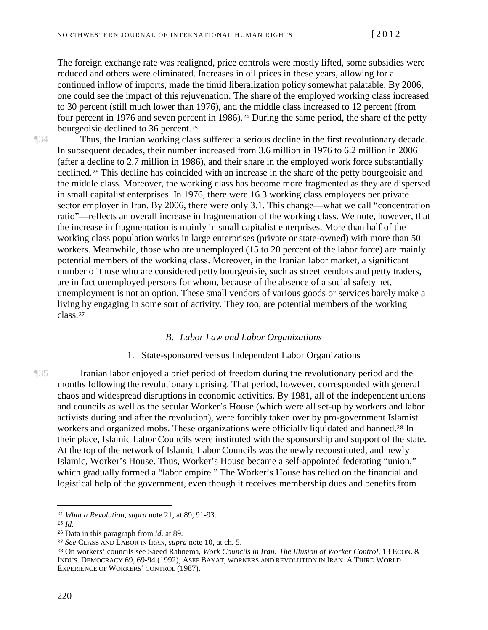The foreign exchange rate was realigned, price controls were mostly lifted, some subsidies were reduced and others were eliminated. Increases in oil prices in these years, allowing for a continued inflow of imports, made the timid liberalization policy somewhat palatable. By 2006, one could see the impact of this rejuvenation. The share of the employed working class increased to 30 percent (still much lower than 1976), and t[he](#page-9-0) middle class increased to 12 percent (from four per[ce](#page-9-1)nt in 1976 and seven percent in 1986).<sup>24</sup> During the same period, the share of the petty bourgeoisie declined to 36 percent.<sup>25</sup>

¶34 Thus, the Iranian working class suffered a serious decline in the first revolutionary decade. In subsequent decades, their number increased from 3.6 million in 1976 to 6.2 million in 2006 (after a d[ec](#page-9-2)line to 2.7 million in 1986), and their share in the employed work force substantially declined.<sup>26</sup> This decline has coincided with an increase in the share of the petty bourgeoisie and the middle class. Moreover, the working class has become more fragmented as they are dispersed in small capitalist enterprises. In 1976, there were 16.3 working class employees per private sector employer in Iran. By 2006, there were only 3.1. This change—what we call "concentration ratio"—reflects an overall increase in fragmentation of the working class. We note, however, that the increase in fragmentation is mainly in small capitalist enterprises. More than half of the working class population works in large enterprises (private or state-owned) with more than 50 workers. Meanwhile, those who are unemployed (15 to 20 percent of the labor force) are mainly potential members of the working class. Moreover, in the Iranian labor market, a significant number of those who are considered petty bourgeoisie, such as street vendors and petty traders, are in fact unemployed persons for whom, because of the absence of a social safety net, unemployment is not an option. These small vendors of various goods or services barely make a livin[g b](#page-9-3)y engaging in some sort of activity. They too, are potential members of the working class.<sup>27</sup>

#### *B. Labor Law and Labor Organizations*

#### 1. State-sponsored versus Independent Labor Organizations

¶35 Iranian labor enjoyed a brief period of freedom during the revolutionary period and the months following the revolutionary uprising. That period, however, corresponded with general chaos and widespread disruptions in economic activities. By 1981, all of the independent unions and councils as well as the secular Worker's House (which were all set-up by workers and labor activists during and after the revolution), were forcibly taken over by pro-government Is[lam](#page-9-4)ist workers and organized mobs. These organizations were officially liquidated and banned.<sup>28</sup> In their place, Islamic Labor Councils were instituted with the sponsorship and support of the state. At the top of the network of Islamic Labor Councils was the newly reconstituted, and newly Islamic, Worker's House. Thus, Worker's House became a self-appointed federating "union," which gradually formed a "labor empire." The Worker's House has relied on the financial and logistical help of the government, even though it receives membership dues and benefits from

<span id="page-9-0"></span><sup>24</sup> *What a Revolution*, *supra* note 21, at 89, 91-93.

<span id="page-9-1"></span><sup>25</sup> *Id*.

<span id="page-9-2"></span><sup>26</sup> Data in this paragraph from *id*. at 89.

<span id="page-9-3"></span><sup>27</sup> *See* CLASS AND LABOR IN IRAN*, supra* note 10, at ch. 5.

<span id="page-9-4"></span><sup>28</sup> On workers' councils see Saeed Rahnema, *Work Councils in Iran: The Illusion of Worker Control*, 13 ECON. & INDUS. DEMOCRACY 69, 69-94 (1992); ASEF BAYAT, WORKERS AND REVOLUTION IN IRAN: A THIRD WORLD EXPERIENCE OF WORKERS' CONTROL (1987).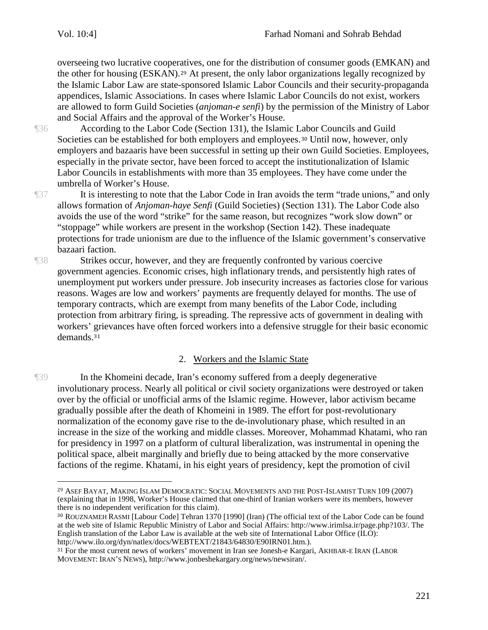overseeing two lucrative cooper[at](#page-10-0)ives, one for the distribution of consumer goods (EMKAN) and the other for housing (ESKAN).<sup>29</sup> At present, the only labor organizations legally recognized by the Islamic Labor Law are state-sponsored Islamic Labor Councils and their security-propaganda appendices, Islamic Associations. In cases where Islamic Labor Councils do not exist, workers are allowed to form Guild Societies (*anjoman-e senfi*) by the permission of the Ministry of Labor and Social Affairs and the approval of the Worker's House.

¶36 According to the Labor Code (Section 131), the Islamic [Lab](#page-10-1)or Councils and Guild Societies can be established for both employers and employees.<sup>30</sup> Until now, however, only employers and bazaaris have been successful in setting up their own Guild Societies. Employees, especially in the private sector, have been forced to accept the institutionalization of Islamic Labor Councils in establishments with more than 35 employees. They have come under the umbrella of Worker's House.

 $\overline{a}$ 

¶37 It is interesting to note that the Labor Code in Iran avoids the term "trade unions," and only allows formation of *Anjoman-haye Senfi* (Guild Societies) (Section 131). The Labor Code also avoids the use of the word "strike" for the same reason, but recognizes "work slow down" or "stoppage" while workers are present in the workshop (Section 142). These inadequate protections for trade unionism are due to the influence of the Islamic government's conservative bazaari faction.

¶38 Strikes occur, however, and they are frequently confronted by various coercive government agencies. Economic crises, high inflationary trends, and persistently high rates of unemployment put workers under pressure. Job insecurity increases as factories close for various reasons. Wages are low and workers' payments are frequently delayed for months. The use of temporary contracts, which are exempt from many benefits of the Labor Code, including protection from arbitrary firing, is spreading. The repressive acts of government in dealing with workers' [gr](#page-10-2)ievances have often forced workers into a defensive struggle for their basic economic demands.<sup>31</sup>

## 2. Workers and the Islamic State

¶39 In the Khomeini decade, Iran's economy suffered from a deeply degenerative involutionary process. Nearly all political or civil society organizations were destroyed or taken over by the official or unofficial arms of the Islamic regime. However, labor activism became gradually possible after the death of Khomeini in 1989. The effort for post-revolutionary normalization of the economy gave rise to the de-involutionary phase, which resulted in an increase in the size of the working and middle classes. Moreover, Mohammad Khatami, who ran for presidency in 1997 on a platform of cultural liberalization, was instrumental in opening the political space, albeit marginally and briefly due to being attacked by the more conservative factions of the regime. Khatami, in his eight years of presidency, kept the promotion of civil

<span id="page-10-0"></span><sup>29</sup> ASEF BAYAT, MAKING ISLAM DEMOCRATIC: SOCIAL MOVEMENTS AND THE POST-ISLAMIST TURN 109 (2007) (explaining that in 1998, Worker's House claimed that one-third of Iranian workers were its members, however there is no independent verification for this claim).

<span id="page-10-1"></span><sup>30</sup> ROUZNAMEH RASMI [Labour Code] Tehran 1370 [1990] (Iran) (The official text of the Labor Code can be found at the web site of Islamic Republic Ministry of Labor and Social Affairs: http://www.irimlsa.ir/page.php?103/. The English translation of the Labor Law is available at the web site of International Labor Office (ILO): http://www.ilo.org/dyn/natlex/docs/WEBTEXT/21843/64830/E90IRN01.htm.).

<span id="page-10-2"></span><sup>31</sup> For the most current news of workers' movement in Iran see Jonesh-e Kargari, AKHBAR-E IRAN (LABOR MOVEMENT: IRAN'S NEWS), http://www.jonbeshekargary.org/news/newsiran/.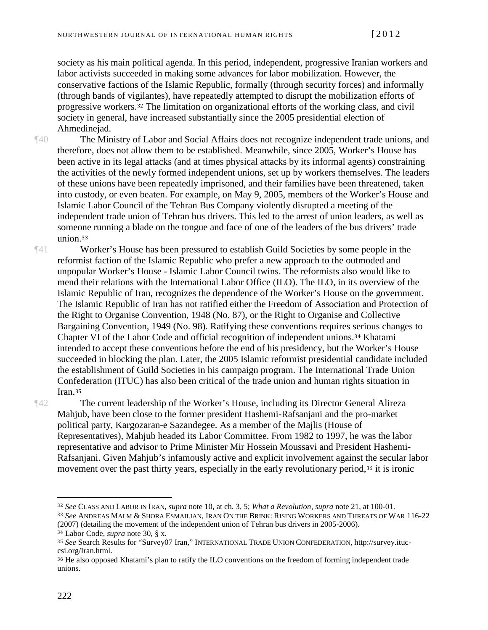society as his main political agenda. In this period, independent, progressive Iranian workers and labor activists succeeded in making some advances for labor mobilization. However, the conservative factions of the Islamic Republic, formally (through security forces) and informally (through bands of vi[gil](#page-11-0)antes), have repeatedly attempted to disrupt the mobilization efforts of progressive workers.<sup>32</sup> The limitation on organizational efforts of the working class, and civil society in general, have increased substantially since the 2005 presidential election of Ahmedinejad.

¶40 The Ministry of Labor and Social Affairs does not recognize independent trade unions, and therefore, does not allow them to be established. Meanwhile, since 2005, Worker's House has been active in its legal attacks (and at times physical attacks by its informal agents) constraining the activities of the newly formed independent unions, set up by workers themselves. The leaders of these unions have been repeatedly imprisoned, and their families have been threatened, taken into custody, or even beaten. For example, on May 9, 2005, members of the Worker's House and Islamic Labor Council of the Tehran Bus Company violently disrupted a meeting of the independent trade union of Tehran bus drivers. This led to the arrest of union leaders, as well as some[one](#page-11-1) running a blade on the tongue and face of one of the leaders of the bus drivers' trade union.<sup>33</sup>

¶41 Worker's House has been pressured to establish Guild Societies by some people in the reformist faction of the Islamic Republic who prefer a new approach to the outmoded and unpopular Worker's House - Islamic Labor Council twins. The reformists also would like to mend their relations with the International Labor Office (ILO). The ILO, in its overview of the Islamic Republic of Iran, recognizes the dependence of the Worker's House on the government. The Islamic Republic of Iran has not ratified either the Freedom of Association and Protection of the Right to Organise Convention, 1948 (No. 87), or the Right to Organise and Collective Bargaining Convention, 1949 (No. 98). Ratifying these conventions requires [ser](#page-11-2)ious changes to Chapter VI of the Labor Code and official recognition of independent unions.<sup>34</sup> Khatami intended to accept these conventions before the end of his presidency, but the Worker's House succeeded in blocking the plan. Later, the 2005 Islamic reformist presidential candidate included the establishment of Guild Societies in his campaign program. The International Trade Union Con[fed](#page-11-3)eration (ITUC) has also been critical of the trade union and human rights situation in Iran.<sup>35</sup>

¶42 The current leadership of the Worker's House, including its Director General Alireza Mahjub, have been close to the former president Hashemi-Rafsanjani and the pro-market political party, Kargozaran-e Sazandegee. As a member of the Majlis (House of Representatives), Mahjub headed its Labor Committee. From 1982 to 1997, he was the labor representative and advisor to Prime Minister Mir Hossein Moussavi and President Hashemi-Rafsanjani. Given Mahjub's infamously active and explicit involvement against [the](#page-11-4) secular labor movement over the past thirty years, especially in the early revolutionary period,<sup>36</sup> it is ironic

<span id="page-11-0"></span><sup>32</sup> *See* CLASS AND LABOR IN IRAN*, supra* note 10, at ch. 3, 5; *What a Revolution*, *supra* note 21, at 100-01.

<span id="page-11-1"></span><sup>33</sup> *See* ANDREAS MALM & SHORA ESMAILIAN, IRAN ON THE BRINK: RISING WORKERS AND THREATS OF WAR 116-22 (2007) (detailing the movement of the independent union of Tehran bus drivers in 2005-2006).

<span id="page-11-2"></span><sup>34</sup> Labor Code, *supra* note 30, § x.

<span id="page-11-3"></span><sup>35</sup> *See* Search Results for "Survey07 Iran," INTERNATIONAL TRADE UNION CONFEDERATION, http://survey.ituccsi.org/Iran.html.

<span id="page-11-4"></span><sup>36</sup> He also opposed Khatami's plan to ratify the ILO conventions on the freedom of forming independent trade unions.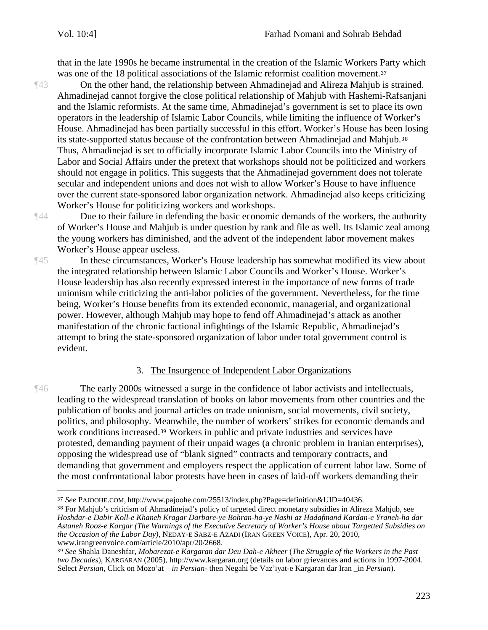that in the late 1990s he became instrumental in the creation of the Islamic Workers [Pa](#page-12-0)rty which was one of the 18 political associations of the Islamic reformist coalition movement.<sup>37</sup>

- ¶43 On the other hand, the relationship between Ahmadinejad and Alireza Mahjub is strained. Ahmadinejad cannot forgive the close political relationship of Mahjub with Hashemi-Rafsanjani and the Islamic reformists. At the same time, Ahmadinejad's government is set to place its own operators in the leadership of Islamic Labor Councils, while limiting the influence of Worker's House. Ahmadinejad has been partially successful in this effort. Worker's House has bee[n lo](#page-12-1)sing its state-supported status because of the confrontation between Ahmadinejad and Mahjub.<sup>38</sup> Thus, Ahmadinejad is set to officially incorporate Islamic Labor Councils into the Ministry of Labor and Social Affairs under the pretext that workshops should not be politicized and workers should not engage in politics. This suggests that the Ahmadinejad government does not tolerate secular and independent unions and does not wish to allow Worker's House to have influence over the current state-sponsored labor organization network. Ahmadinejad also keeps criticizing Worker's House for politicizing workers and workshops.
- 

 $\overline{a}$ 

¶44 Due to their failure in defending the basic economic demands of the workers, the authority of Worker's House and Mahjub is under question by rank and file as well. Its Islamic zeal among the young workers has diminished, and the advent of the independent labor movement makes Worker's House appear useless.

¶45 In these circumstances, Worker's House leadership has somewhat modified its view about the integrated relationship between Islamic Labor Councils and Worker's House. Worker's House leadership has also recently expressed interest in the importance of new forms of trade unionism while criticizing the anti-labor policies of the government. Nevertheless, for the time being, Worker's House benefits from its extended economic, managerial, and organizational power. However, although Mahjub may hope to fend off Ahmadinejad's attack as another manifestation of the chronic factional infightings of the Islamic Republic, Ahmadinejad's attempt to bring the state-sponsored organization of labor under total government control is evident.

## 3. The Insurgence of Independent Labor Organizations

¶46 The early 2000s witnessed a surge in the confidence of labor activists and intellectuals, leading to the widespread translation of books on labor movements from other countries and the publication of books and journal articles on trade unionism, social movements, civil society, politics, and philosophy. [Mea](#page-12-2)nwhile, the number of workers' strikes for economic demands and work conditions increased.<sup>39</sup> Workers in public and private industries and services have protested, demanding payment of their unpaid wages (a chronic problem in Iranian enterprises), opposing the widespread use of "blank signed" contracts and temporary contracts, and demanding that government and employers respect the application of current labor law. Some of the most confrontational labor protests have been in cases of laid-off workers demanding their

<span id="page-12-0"></span><sup>37</sup> *See* PAJOOHE.COM, http://www.pajoohe.com/25513/index.php?Page=definition&UID=40436.

<span id="page-12-1"></span><sup>38</sup> For Mahjub's criticism of Ahmadinejad's policy of targeted direct monetary subsidies in Alireza Mahjub, see *Hoshdar-e Dabir Koll-e Khaneh Kragar Darbare-ye Bohran-ha-ye Nashi az Hadafmand Kardan-e Yraneh-ha dar Astaneh Rooz-e Kargar (The Warnings of the Executive Secretary of Worker's House about Targetted Subsidies on the Occasion of the Labor Day)*, NEDAY-E SABZ-E AZADI (IRAN GREEN VOICE), Apr. 20, 2010, www.irangreenvoice.com/article/2010/apr/20/2668.

<span id="page-12-2"></span><sup>39</sup> *See* Shahla Daneshfar, *Mobarezat-e Kargaran dar Deu Dah-e Akheer* (*The Struggle of the Workers in the Past two Decades*), KARGARAN (2005), http://www.kargaran.org (details on labor grievances and actions in 1997-2004. Select *Persian*, Click on Mozo'at – *in Persian*- then Negahi be Vaz'iyat-e Kargaran dar Iran \_in *Persian*).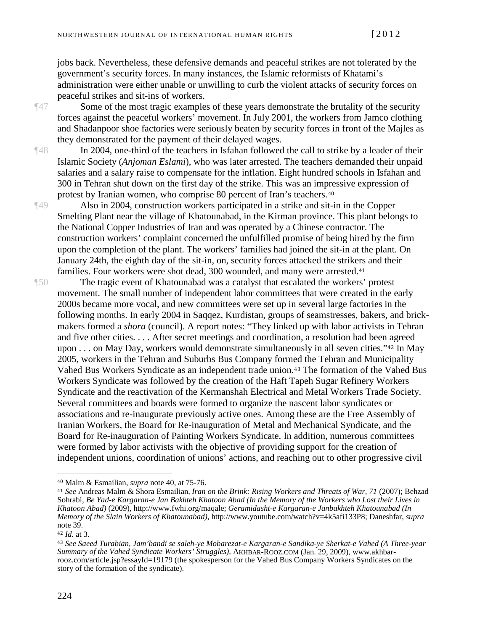jobs back. Nevertheless, these defensive demands and peaceful strikes are not tolerated by the government's security forces. In many instances, the Islamic reformists of Khatami's administration were either unable or unwilling to curb the violent attacks of security forces on peaceful strikes and sit-ins of workers.

¶47 Some of the most tragic examples of these years demonstrate the brutality of the security forces against the peaceful workers' movement. In July 2001, the workers from Jamco clothing and Shadanpoor shoe factories were seriously beaten by security forces in front of the Majles as they demonstrated for the payment of their delayed wages.

¶48 In 2004, one-third of the teachers in Isfahan followed the call to strike by a leader of their Islamic Society (*Anjoman Eslami*), who was later arrested. The teachers demanded their unpaid salaries and a salary raise to compensate for the inflation. Eight hundred schools in Isfahan and 300 in Tehran shut down on the first day of the strike. This was an im[pre](#page-13-0)ssive expression of protest by Iranian women, who comprise 80 percent of Iran's teachers.<sup>40</sup>

¶49 Also in 2004, construction workers participated in a strike and sit-in in the Copper Smelting Plant near the village of Khatounabad, in the Kirman province. This plant belongs to the National Copper Industries of Iran and was operated by a Chinese contractor. The construction workers' complaint concerned the unfulfilled promise of being hired by the firm upon the completion of the plant. The workers' families had joined the sit-in at the plant. On January 24th, the eighth day of the sit-in, on, security forces attacked the strike[rs](#page-13-1) and their families. Four workers were shot dead, 300 wounded, and many were arrested.<sup>41</sup>

¶50 The tragic event of Khatounabad was a catalyst that escalated the workers' protest movement. The small number of independent labor committees that were created in the early 2000s became more vocal, and new committees were set up in several large factories in the following months. In early 2004 in Saqqez, Kurdistan, groups of seamstresses, bakers, and brickmakers formed a *shora* (council). A report notes: "They linked up with labor activists in Tehran and five other cities. . . . After secret meetings and coordination, a resolution had been [a](#page-13-2)greed upon . . . on May Day, workers would demonstrate simultaneously in all seven cities."<sup>42</sup> In May 2005, workers in the Tehran and Suburbs Bus Company form[ed](#page-13-3) the Tehran and Municipality Vahed Bus Workers Syndicate as an independent trade union.<sup>43</sup> The formation of the Vahed Bus Workers Syndicate was followed by the creation of the Haft Tapeh Sugar Refinery Workers Syndicate and the reactivation of the Kermanshah Electrical and Metal Workers Trade Society. Several committees and boards were formed to organize the nascent labor syndicates or associations and re-inaugurate previously active ones. Among these are the Free Assembly of Iranian Workers, the Board for Re-inauguration of Metal and Mechanical Syndicate, and the Board for Re-inauguration of Painting Workers Syndicate. In addition, numerous committees were formed by labor activists with the objective of providing support for the creation of independent unions, coordination of unions' actions, and reaching out to other progressive civil

<span id="page-13-0"></span><sup>40</sup> Malm & Esmailian, *supra* note 40, at 75-76.

<span id="page-13-1"></span><sup>41</sup> *See* Andreas Malm & Shora Esmailian, *Iran on the Brink: Rising Workers and Threats of War, 71* (2007); Behzad Sohrabi, *Be Yad-e Kargaran-e Jan Bakhteh Khatoon Abad (In the Memory of the Workers who Lost their Lives in Khatoon Abad)* (2009), http://www.fwhi.org/maqale; *Geramidasht-e Kargaran-e Janbakhteh Khatounabad (In Memory of the Slain Workers of Khatounabad)*, http://www.youtube.com/watch?v=4k5afi133P8; Daneshfar, *supra* note 39.

<span id="page-13-2"></span><sup>42</sup> *Id.* at 3.

<span id="page-13-3"></span><sup>43</sup> *See Saeed Turabian, Jam'bandi se saleh-ye Mobarezat-e Kargaran-e Sandika-ye Sherkat-e Vahed (A Three-year Summary of the Vahed Syndicate Workers' Struggles),* AKHBAR-ROOZ.COM (Jan. 29, 2009), www.akhbarrooz.com/article.jsp?essayId=19179 (the spokesperson for the Vahed Bus Company Workers Syndicates on the story of the formation of the syndicate).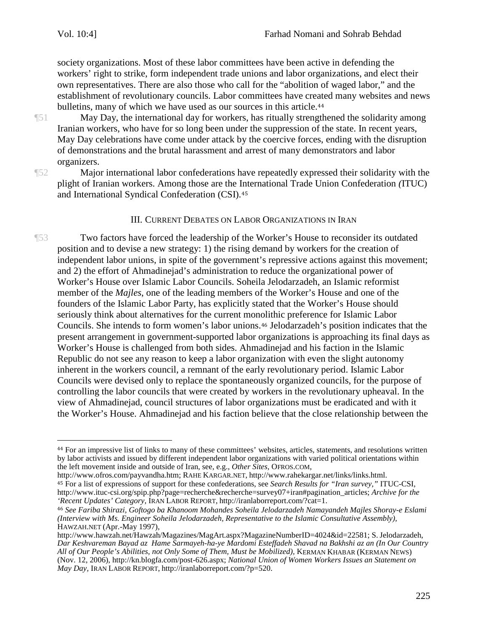society organizations. Most of these labor committees have been active in defending the workers' right to strike, form independent trade unions and labor organizations, and elect their own representatives. There are also those who call for the "abolition of waged labor," and the establishment of revolutionary councils. Labor committees have cre[ate](#page-14-0)d many websites and news bulletins, many of which we have used as our sources in this article.<sup>44</sup>

¶51 May Day, the international day for workers, has ritually strengthened the solidarity among Iranian workers, who have for so long been under the suppression of the state. In recent years, May Day celebrations have come under attack by the coercive forces, ending with the disruption of demonstrations and the brutal harassment and arrest of many demonstrators and labor organizers.

¶52 Major international labor confederations have repeatedly expressed their solidarity with the plight of Iranian workers. Among those are the [Int](#page-14-1)ernational Trade Union Confederation *(*ITUC) and International Syndical Confederation (CSI).<sup>45</sup>

#### III. CURRENT DEBATES ON LABOR ORGANIZATIONS IN IRAN

¶53 Two factors have forced the leadership of the Worker's House to reconsider its outdated position and to devise a new strategy: 1) the rising demand by workers for the creation of independent labor unions, in spite of the government's repressive actions against this movement; and 2) the effort of Ahmadinejad's administration to reduce the organizational power of Worker's House over Islamic Labor Councils. Soheila Jelodarzadeh, an Islamic reformist member of the *Majles*, one of the leading members of the Worker's House and one of the founders of the Islamic Labor Party, has explicitly stated that the Worker's House should seriously think about alternatives for the current mon[ol](#page-14-2)ithic preference for Islamic Labor Councils. She intends to form women's labor unions.<sup>46</sup> Jelodarzadeh's position indicates that the present arrangement in government-supported labor organizations is approaching its final days as Worker's House is challenged from both sides. Ahmadinejad and his faction in the Islamic Republic do not see any reason to keep a labor organization with even the slight autonomy inherent in the workers council, a remnant of the early revolutionary period. Islamic Labor Councils were devised only to replace the spontaneously organized councils, for the purpose of controlling the labor councils that were created by workers in the revolutionary upheaval. In the view of Ahmadinejad, council structures of labor organizations must be eradicated and with it the Worker's House. Ahmadinejad and his faction believe that the close relationship between the

<span id="page-14-0"></span><sup>44</sup> For an impressive list of links to many of these committees' websites, articles, statements, and resolutions written by labor activists and issued by different independent labor organizations with varied political orientations within the left movement inside and outside of Iran, see, e.g., *Other Sites,* OFROS.COM,

http://www.ofros.com/payvandha.htm; RAHE KARGAR.NET, http://www.rahekargar.net/links/links.html.

<span id="page-14-1"></span><sup>45</sup> For a list of expressions of support for these confederations, see *Search Results for "Iran survey,"* ITUC-CSI, http://www.ituc-csi.org/spip.php?page=recherche&recherche=survey07+iran#pagination\_articles; *Archive for the 'Recent Updates' Category,* IRAN LABOR REPORT, http://iranlaborreport.com/?cat=1.

<span id="page-14-2"></span><sup>46</sup> *See Fariba Shirazi, Goftogo ba Khanoom Mohandes Soheila Jelodarzadeh Namayandeh Majles Shoray-e Eslami (Interview with Ms. Engineer Soheila Jelodarzadeh, Representative to the Islamic Consultative Assembly),* HAWZAH.NET (Apr.-May 1997),

http://www.hawzah.net/Hawzah/Magazines/MagArt.aspx?MagazineNumberID=4024&id=22581; S. Jelodarzadeh, *Dar Keshvareman Bayad az Hame Sarmayeh-ha-ye Mardomi Esteffadeh Shavad na Bakhshi az an (In Our Country All of Our People's Abilities, not Only Some of Them, Must be Mobilized),* KERMAN KHABAR (KERMAN NEWS) (Nov. 12, 2006), http://kn.blogfa.com/post-626.aspx; *National Union of Women Workers Issues an Statement on May Day,* IRAN LABOR REPORT, http://iranlaborreport.com/?p=520.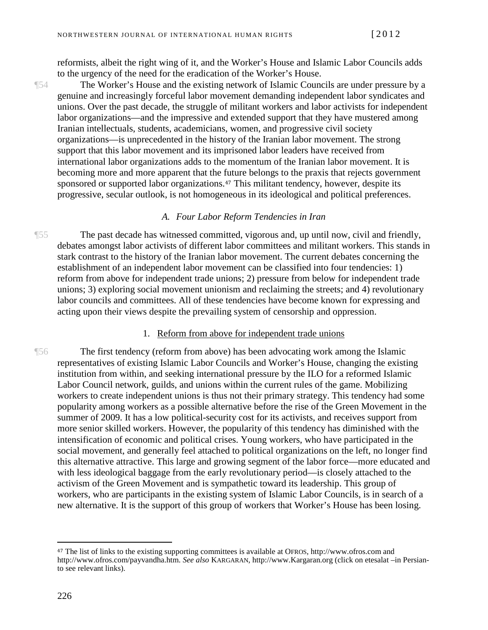reformists, albeit the right wing of it, and the Worker's House and Islamic Labor Councils adds to the urgency of the need for the eradication of the Worker's House.

¶54 The Worker's House and the existing network of Islamic Councils are under pressure by a genuine and increasingly forceful labor movement demanding independent labor syndicates and unions. Over the past decade, the struggle of militant workers and labor activists for independent labor organizations—and the impressive and extended support that they have mustered among Iranian intellectuals, students, academicians, women, and progressive civil society organizations—is unprecedented in the history of the Iranian labor movement. The strong support that this labor movement and its imprisoned labor leaders have received from international labor organizations adds to the momentum of the Iranian labor movement. It is becoming more and more apparent that the [fut](#page-15-0)ure belongs to the praxis that rejects government sponsored or supported labor organizations.<sup>47</sup> This militant tendency, however, despite its progressive, secular outlook, is not homogeneous in its ideological and political preferences.

#### *A. Four Labor Reform Tendencies in Iran*

¶55 The past decade has witnessed committed, vigorous and, up until now, civil and friendly, debates amongst labor activists of different labor committees and militant workers. This stands in stark contrast to the history of the Iranian labor movement. The current debates concerning the establishment of an independent labor movement can be classified into four tendencies: 1) reform from above for independent trade unions; 2) pressure from below for independent trade unions; 3) exploring social movement unionism and reclaiming the streets; and 4) revolutionary labor councils and committees. All of these tendencies have become known for expressing and acting upon their views despite the prevailing system of censorship and oppression.

#### 1. Reform from above for independent trade unions

¶56 The first tendency (reform from above) has been advocating work among the Islamic representatives of existing Islamic Labor Councils and Worker's House, changing the existing institution from within, and seeking international pressure by the ILO for a reformed Islamic Labor Council network, guilds, and unions within the current rules of the game. Mobilizing workers to create independent unions is thus not their primary strategy. This tendency had some popularity among workers as a possible alternative before the rise of the Green Movement in the summer of 2009. It has a low political-security cost for its activists, and receives support from more senior skilled workers. However, the popularity of this tendency has diminished with the intensification of economic and political crises. Young workers, who have participated in the social movement, and generally feel attached to political organizations on the left, no longer find this alternative attractive. This large and growing segment of the labor force—more educated and with less ideological baggage from the early revolutionary period—is closely attached to the activism of the Green Movement and is sympathetic toward its leadership. This group of workers, who are participants in the existing system of Islamic Labor Councils, is in search of a new alternative. It is the support of this group of workers that Worker's House has been losing.

<span id="page-15-0"></span><sup>47</sup> The list of links to the existing supporting committees is available at OFROS, http://www.ofros.com and http://www.ofros.com/payvandha.htm. *See also* KARGARAN, http://www.Kargaran.org (click on etesalat –in Persianto see relevant links).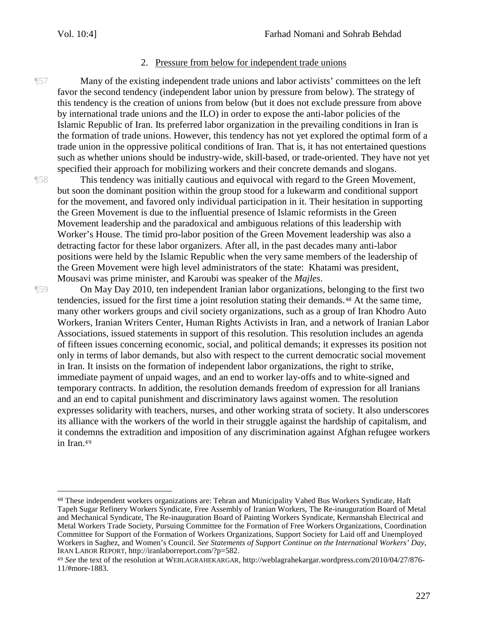#### 2. Pressure from below for independent trade unions

¶57 Many of the existing independent trade unions and labor activists' committees on the left favor the second tendency (independent labor union by pressure from below). The strategy of this tendency is the creation of unions from below (but it does not exclude pressure from above by international trade unions and the ILO) in order to expose the anti-labor policies of the Islamic Republic of Iran. Its preferred labor organization in the prevailing conditions in Iran is the formation of trade unions. However, this tendency has not yet explored the optimal form of a trade union in the oppressive political conditions of Iran. That is, it has not entertained questions such as whether unions should be industry-wide, skill-based, or trade-oriented. They have not yet specified their approach for mobilizing workers and their concrete demands and slogans.

¶58 This tendency was initially cautious and equivocal with regard to the Green Movement, but soon the dominant position within the group stood for a lukewarm and conditional support for the movement, and favored only individual participation in it. Their hesitation in supporting the Green Movement is due to the influential presence of Islamic reformists in the Green Movement leadership and the paradoxical and ambiguous relations of this leadership with Worker's House. The timid pro-labor position of the Green Movement leadership was also a detracting factor for these labor organizers. After all, in the past decades many anti-labor positions were held by the Islamic Republic when the very same members of the leadership of the Green Movement were high level administrators of the state: Khatami was president, Mousavi was prime minister, and Karoubi was speaker of the *Majles*.

 $\overline{a}$ 

¶59 On May Day 2010, ten independent Iranian labor organizations, belo[ng](#page-16-0)ing to the first two tendencies, issued for the first time a joint resolution stating their demands.<sup>48</sup> At the same time, many other workers groups and civil society organizations, such as a group of Iran Khodro Auto Workers, Iranian Writers Center, Human Rights Activists in Iran, and a network of Iranian Labor Associations, issued statements in support of this resolution. This resolution includes an agenda of fifteen issues concerning economic, social, and political demands; it expresses its position not only in terms of labor demands, but also with respect to the current democratic social movement in Iran. It insists on the formation of independent labor organizations, the right to strike, immediate payment of unpaid wages, and an end to worker lay-offs and to white-signed and temporary contracts. In addition, the resolution demands freedom of expression for all Iranians and an end to capital punishment and discriminatory laws against women. The resolution expresses solidarity with teachers, nurses, and other working strata of society. It also underscores its alliance with the workers of the world in their struggle against the hardship of capitalism, and it cond[em](#page-16-1)ns the extradition and imposition of any discrimination against Afghan refugee workers in Iran.<sup>49</sup>

<span id="page-16-0"></span><sup>48</sup> These independent workers organizations are: Tehran and Municipality Vahed Bus Workers Syndicate, Haft Tapeh Sugar Refinery Workers Syndicate, Free Assembly of Iranian Workers, The Re-inauguration Board of Metal and Mechanical Syndicate, The Re-inauguration Board of Painting Workers Syndicate, Kermanshah Electrical and Metal Workers Trade Society, Pursuing Committee for the Formation of Free Workers Organizations, Coordination Committee for Support of the Formation of Workers Organizations, Support Society for Laid off and Unemployed Workers in Saghez, and Women's Council. *See Statements of Support Continue on the International Workers' Day*, IRAN LABOR REPORT, http://iranlaborreport.com/?p=582.

<span id="page-16-1"></span><sup>49</sup> *See* the text of the resolution at WEBLAGRAHEKARGAR, http://weblagrahekargar.wordpress.com/2010/04/27/876- 11/#more-1883.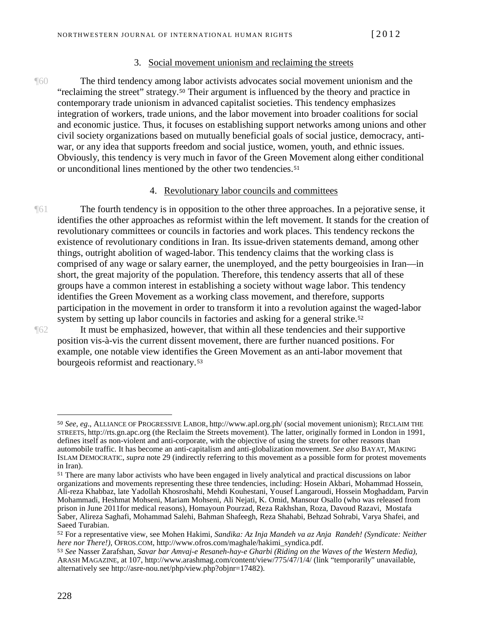#### 3. Social movement unionism and reclaiming the streets

¶60 The third tendency amon[g l](#page-17-0)abor activists advocates social movement unionism and the "reclaiming the street" strategy.<sup>50</sup> Their argument is influenced by the theory and practice in contemporary trade unionism in advanced capitalist societies. This tendency emphasizes integration of workers, trade unions, and the labor movement into broader coalitions for social and economic justice. Thus, it focuses on establishing support networks among unions and other civil society organizations based on mutually beneficial goals of social justice, democracy, antiwar, or any idea that supports freedom and social justice, women, youth, and ethnic issues. Obviously, this tendency is very much in favor of the Green [Mo](#page-17-1)vement along either conditional or unconditional lines mentioned by the other two tendencies.<sup>51</sup>

#### 4. Revolutionary labor councils and committees

The fourth tendency is in opposition to the other three approaches. In a pejorative sense, it identifies the other approaches as reformist within the left movement. It stands for the creation of revolutionary committees or councils in factories and work places. This tendency reckons the existence of revolutionary conditions in Iran. Its issue-driven statements demand, among other things, outright abolition of waged-labor. This tendency claims that the working class is comprised of any wage or salary earner, the unemployed, and the petty bourgeoisies in Iran—in short, the great majority of the population. Therefore, this tendency asserts that all of these groups have a common interest in establishing a society without wage labor. This tendency identifies the Green Movement as a working class movement, and therefore, supports participation in the movement in order to transform it into a revolution against [th](#page-17-2)e waged-labor system by setting up labor councils in factories and asking for a general strike.<sup>52</sup>

 $\overline{a}$ 

¶62 It must be emphasized, however, that within all these tendencies and their supportive position vis-à-vis the current dissent movement, there are further nuanced positions. For example, one notable view identifie[s th](#page-17-3)e Green Movement as an anti-labor movement that bourgeois reformist and reactionary.<sup>53</sup>

<span id="page-17-0"></span><sup>50</sup> *See, eg*., ALLIANCE OF PROGRESSIVE LABOR, http://www.apl.org.ph/ (social movement unionism); RECLAIM THE STREETS, http://rts.gn.apc.org (the Reclaim the Streets movement). The latter, originally formed in London in 1991, defines itself as non-violent and anti-corporate, with the objective of using the streets for other reasons than automobile traffic. It has become an anti-capitalism and anti-globalization movement. *See also* BAYAT, MAKING ISLAM DEMOCRATIC, *supra* note 29 (indirectly referring to this movement as a possible form for protest movements in Iran).

<span id="page-17-1"></span><sup>51</sup> There are many labor activists who have been engaged in lively analytical and practical discussions on labor organizations and movements representing these three tendencies, including: Hosein Akbari, Mohammad Hossein, Ali-reza Khabbaz, late Yadollah Khosroshahi, Mehdi Kouhestani, Yousef Langaroudi, Hossein Moghaddam, Parvin Mohammadi, Heshmat Mohseni, Mariam Mohseni, Ali Nejati, K. Omid, Mansour Osallo (who was released from prison in June 2011for medical reasons), Homayoun Pourzad, Reza Rakhshan, Roza, Davoud Razavi, Mostafa Saber, Alireza Saghafi, Mohammad Salehi, Bahman Shafeegh, Reza Shahabi, Behzad Sohrabi, Varya Shafei, and Saeed Turabian.

<span id="page-17-2"></span><sup>52</sup> For a representative view, see Mohen Hakimi, *Sandika: Az Inja Mandeh va az Anja Randeh! (Syndicate: Neither here nor There!)*, OFROS.COM, http://www.ofros.com/maghale/hakimi\_syndica.pdf.

<span id="page-17-3"></span><sup>53</sup> *See* Nasser Zarafshan, *Savar bar Amvaj-e Resaneh-hay-e Gharbi (Riding on the Waves of the Western Media),* ARASH MAGAZINE, at 107, http://www.arashmag.com/content/view/775/47/1/4/ (link "temporarily" unavailable, alternatively see http://asre-nou.net/php/view.php?objnr=17482).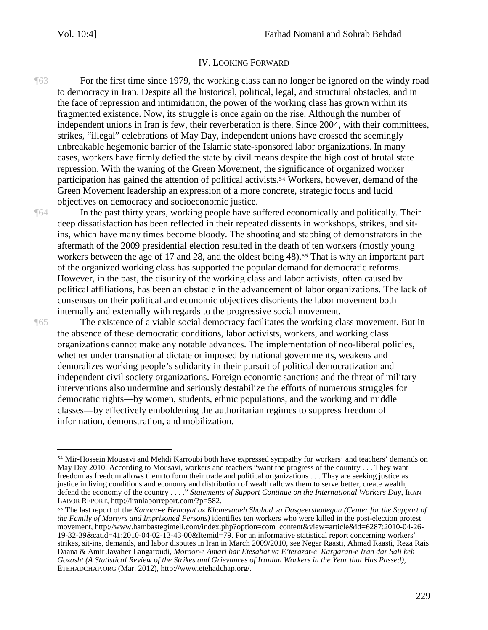#### IV. LOOKING FORWARD

¶63 For the first time since 1979, the working class can no longer be ignored on the windy road to democracy in Iran. Despite all the historical, political, legal, and structural obstacles, and in the face of repression and intimidation, the power of the working class has grown within its fragmented existence. Now, its struggle is once again on the rise. Although the number of independent unions in Iran is few, their reverberation is there. Since 2004, with their committees, strikes, "illegal" celebrations of May Day, independent unions have crossed the seemingly unbreakable hegemonic barrier of the Islamic state-sponsored labor organizations. In many cases, workers have firmly defied the state by civil means despite the high cost of brutal state repression. With the waning of the Green Movement, the [sig](#page-18-0)nificance of organized worker participation has gained the attention of political activists.<sup>54</sup> Workers, however, demand of the Green Movement leadership an expression of a more concrete, strategic focus and lucid objectives on democracy and socioeconomic justice.

¶64 In the past thirty years, working people have suffered economically and politically. Their deep dissatisfaction has been reflected in their repeated dissents in workshops, strikes, and sitins, which have many times become bloody. The shooting and stabbing of demonstrators in the aftermath of the 2009 presidential election resulted in the death [of](#page-18-1) ten workers (mostly young workers between the age of 17 and 28, and the oldest being 48).<sup>55</sup> That is why an important part of the organized working class has supported the popular demand for democratic reforms. However, in the past, the disunity of the working class and labor activists, often caused by political affiliations, has been an obstacle in the advancement of labor organizations. The lack of consensus on their political and economic objectives disorients the labor movement both internally and externally with regards to the progressive social movement.

 $\overline{a}$ 

¶65 The existence of a viable social democracy facilitates the working class movement. But in the absence of these democratic conditions, labor activists, workers, and working class organizations cannot make any notable advances. The implementation of neo-liberal policies, whether under transnational dictate or imposed by national governments, weakens and demoralizes working people's solidarity in their pursuit of political democratization and independent civil society organizations. Foreign economic sanctions and the threat of military interventions also undermine and seriously destabilize the efforts of numerous struggles for democratic rights—by women, students, ethnic populations, and the working and middle classes—by effectively emboldening the authoritarian regimes to suppress freedom of information, demonstration, and mobilization.

<span id="page-18-0"></span><sup>54</sup> Mir-Hossein Mousavi and Mehdi Karroubi both have expressed sympathy for workers' and teachers' demands on May Day 2010. According to Mousavi, workers and teachers "want the progress of the country . . . They want freedom as freedom allows them to form their trade and political organizations . . . They are seeking justice as justice in living conditions and economy and distribution of wealth allows them to serve better, create wealth, defend the economy of the country . . . ." *Statements of Support Continue on the International Workers Day*, IRAN LABOR REPORT, http://iranlaborreport.com/?p=582.

<span id="page-18-1"></span><sup>55</sup> The last report of the *Kanoun-e Hemayat az Khanevadeh Shohad va Dasgeershodegan (Center for the Support of the Family of Martyrs and Imprisoned Persons)* identifies ten workers who were killed in the post-election protest movement, http://www.hambastegimeli.com/index.php?option=com\_content&view=article&id=6287:2010-04-26- 19-32-39&catid=41:2010-04-02-13-43-00&Itemid=79. For an informative statistical report concerning workers' strikes, sit-ins, demands, and labor disputes in Iran in March 2009/2010, see Negar Raasti, Ahmad Raasti, Reza Rais Daana & Amir Javaher Langaroudi, *Moroor-e Amari bar Etesabat va E'terazat-e Kargaran-e Iran dar Sali keh Gozasht (A Statistical Review of the Strikes and Grievances of Iranian Workers in the Year that Has Passed)*, ETEHADCHAP.ORG (Mar. 2012), http://www.etehadchap.org/.